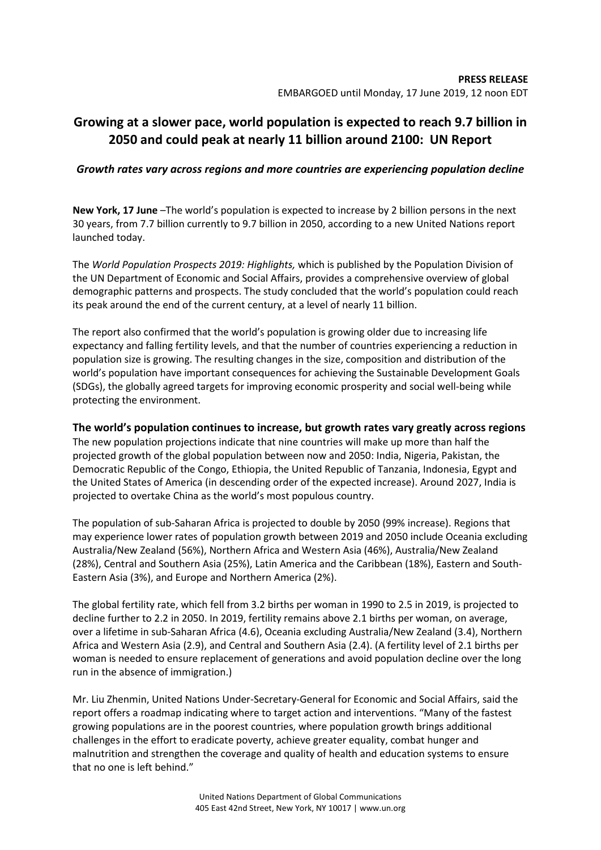# **Growing at a slower pace, world population is expected to reach 9.7 billion in 2050 and could peak at nearly 11 billion around 2100: UN Report**

## *Growth rates vary across regions and more countries are experiencing population decline*

**New York, 17 June** –The world's population is expected to increase by 2 billion persons in the next 30 years, from 7.7 billion currently to 9.7 billion in 2050, according to a new United Nations report launched today.

The *World Population Prospects 2019: Highlights,* which is published by the Population Division of the UN Department of Economic and Social Affairs, provides a comprehensive overview of global demographic patterns and prospects. The study concluded that the world's population could reach its peak around the end of the current century, at a level of nearly 11 billion.

The report also confirmed that the world's population is growing older due to increasing life expectancy and falling fertility levels, and that the number of countries experiencing a reduction in population size is growing. The resulting changes in the size, composition and distribution of the world's population have important consequences for achieving the Sustainable Development Goals (SDGs), the globally agreed targets for improving economic prosperity and social well-being while protecting the environment.

## **The world's population continues to increase, but growth rates vary greatly across regions**

The new population projections indicate that nine countries will make up more than half the projected growth of the global population between now and 2050: India, Nigeria, Pakistan, the Democratic Republic of the Congo, Ethiopia, the United Republic of Tanzania, Indonesia, Egypt and the United States of America (in descending order of the expected increase). Around 2027, India is projected to overtake China as the world's most populous country.

The population of sub-Saharan Africa is projected to double by 2050 (99% increase). Regions that may experience lower rates of population growth between 2019 and 2050 include Oceania excluding Australia/New Zealand (56%), Northern Africa and Western Asia (46%), Australia/New Zealand (28%), Central and Southern Asia (25%), Latin America and the Caribbean (18%), Eastern and South-Eastern Asia (3%), and Europe and Northern America (2%).

The global fertility rate, which fell from 3.2 births per woman in 1990 to 2.5 in 2019, is projected to decline further to 2.2 in 2050. In 2019, fertility remains above 2.1 births per woman, on average, over a lifetime in sub-Saharan Africa (4.6), Oceania excluding Australia/New Zealand (3.4), Northern Africa and Western Asia (2.9), and Central and Southern Asia (2.4). (A fertility level of 2.1 births per woman is needed to ensure replacement of generations and avoid population decline over the long run in the absence of immigration.)

Mr. Liu Zhenmin, United Nations Under-Secretary-General for Economic and Social Affairs, said the report offers a roadmap indicating where to target action and interventions. "Many of the fastest growing populations are in the poorest countries, where population growth brings additional challenges in the effort to eradicate poverty, achieve greater equality, combat hunger and malnutrition and strengthen the coverage and quality of health and education systems to ensure that no one is left behind."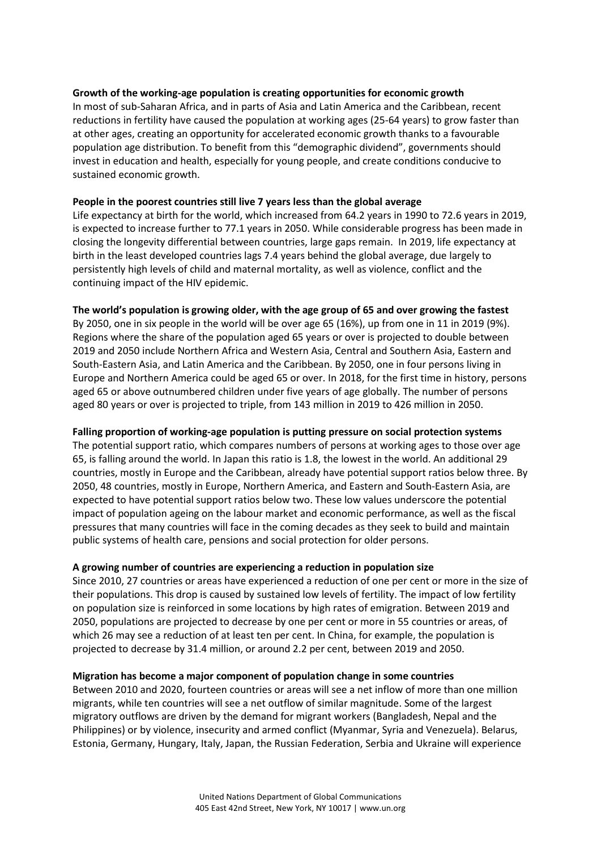## **Growth of the working-age population is creating opportunities for economic growth**

In most of sub-Saharan Africa, and in parts of Asia and Latin America and the Caribbean, recent reductions in fertility have caused the population at working ages (25-64 years) to grow faster than at other ages, creating an opportunity for accelerated economic growth thanks to a favourable population age distribution. To benefit from this "demographic dividend", governments should invest in education and health, especially for young people, and create conditions conducive to sustained economic growth.

#### **People in the poorest countries still live 7 years less than the global average**

Life expectancy at birth for the world, which increased from 64.2 years in 1990 to 72.6 years in 2019, is expected to increase further to 77.1 years in 2050. While considerable progress has been made in closing the longevity differential between countries, large gaps remain. In 2019, life expectancy at birth in the least developed countries lags 7.4 years behind the global average, due largely to persistently high levels of child and maternal mortality, as well as violence, conflict and the continuing impact of the HIV epidemic.

#### **The world's population is growing older, with the age group of 65 and over growing the fastest**

By 2050, one in six people in the world will be over age 65 (16%), up from one in 11 in 2019 (9%). Regions where the share of the population aged 65 years or over is projected to double between 2019 and 2050 include Northern Africa and Western Asia, Central and Southern Asia, Eastern and South-Eastern Asia, and Latin America and the Caribbean. By 2050, one in four persons living in Europe and Northern America could be aged 65 or over. In 2018, for the first time in history, persons aged 65 or above outnumbered children under five years of age globally. The number of persons aged 80 years or over is projected to triple, from 143 million in 2019 to 426 million in 2050.

## **Falling proportion of working-age population is putting pressure on social protection systems**

The potential support ratio, which compares numbers of persons at working ages to those over age 65, is falling around the world. In Japan this ratio is 1.8, the lowest in the world. An additional 29 countries, mostly in Europe and the Caribbean, already have potential support ratios below three. By 2050, 48 countries, mostly in Europe, Northern America, and Eastern and South-Eastern Asia, are expected to have potential support ratios below two. These low values underscore the potential impact of population ageing on the labour market and economic performance, as well as the fiscal pressures that many countries will face in the coming decades as they seek to build and maintain public systems of health care, pensions and social protection for older persons.

#### **A growing number of countries are experiencing a reduction in population size**

Since 2010, 27 countries or areas have experienced a reduction of one per cent or more in the size of their populations. This drop is caused by sustained low levels of fertility. The impact of low fertility on population size is reinforced in some locations by high rates of emigration. Between 2019 and 2050, populations are projected to decrease by one per cent or more in 55 countries or areas, of which 26 may see a reduction of at least ten per cent. In China, for example, the population is projected to decrease by 31.4 million, or around 2.2 per cent, between 2019 and 2050.

#### **Migration has become a major component of population change in some countries**

Between 2010 and 2020, fourteen countries or areas will see a net inflow of more than one million migrants, while ten countries will see a net outflow of similar magnitude. Some of the largest migratory outflows are driven by the demand for migrant workers (Bangladesh, Nepal and the Philippines) or by violence, insecurity and armed conflict (Myanmar, Syria and Venezuela). Belarus, Estonia, Germany, Hungary, Italy, Japan, the Russian Federation, Serbia and Ukraine will experience